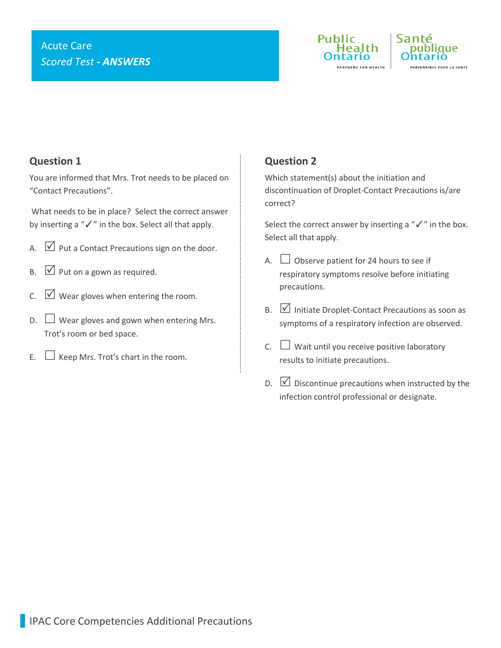# Acute Care *Scored Test - ANSWERS*





## **Question 1**

You are informed that Mrs. Trot needs to be placed on "Contact Precautions".

What needs to be in place? Select the correct answer by inserting a "✓" in the box. Select all that apply.

- A.  $\triangledown$  Put a Contact Precautions sign on the door.
- $\mathsf{B.} \quad \boxed{\vee}$  Put on a gown as required.
- C.  $\forall$  Wear gloves when entering the room.
- $D.$  Wear gloves and gown when entering Mrs. Trot's room or bed space.
- E.  $\Box$  Keep Mrs. Trot's chart in the room.

### **Question 2**

Which statement(s) about the initiation and discontinuation of Droplet-Contact Precautions is/are correct?

Select the correct answer by inserting a "√" in the box. Select all that apply.

- A.  $\Box$  Observe patient for 24 hours to see if respiratory symptoms resolve before initiating precautions.
- $B.$   $\Box$  Initiate Droplet-Contact Precautions as soon as symptoms of a respiratory infection are observed.
- C.  $\Box$  Wait until you receive positive laboratory results to initiate precautions.
- $\Box$  Discontinue precautions when instructed by the infection control professional or designate.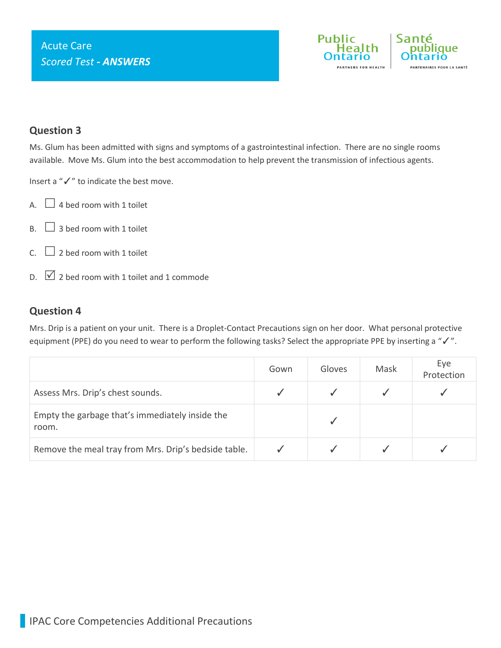

#### **Question 3**

Ms. Glum has been admitted with signs and symptoms of a gastrointestinal infection. There are no single rooms available. Move Ms. Glum into the best accommodation to help prevent the transmission of infectious agents.

Insert a "✓" to indicate the best move.

- A.  $\Box$  4 bed room with 1 toilet
- $B.$  3 bed room with 1 toilet
- C.  $\Box$  2 bed room with 1 toilet
- $\Box$  2 bed room with 1 toilet and 1 commode

#### **Question 4**

Mrs. Drip is a patient on your unit. There is a Droplet-Contact Precautions sign on her door. What personal protective equipment (PPE) do you need to wear to perform the following tasks? Select the appropriate PPE by inserting a "✓".

|                                                          | Gown | Gloves | Mask | Eye<br>Protection |
|----------------------------------------------------------|------|--------|------|-------------------|
| Assess Mrs. Drip's chest sounds.                         |      |        |      |                   |
| Empty the garbage that's immediately inside the<br>room. |      |        |      |                   |
| Remove the meal tray from Mrs. Drip's bedside table.     |      |        |      |                   |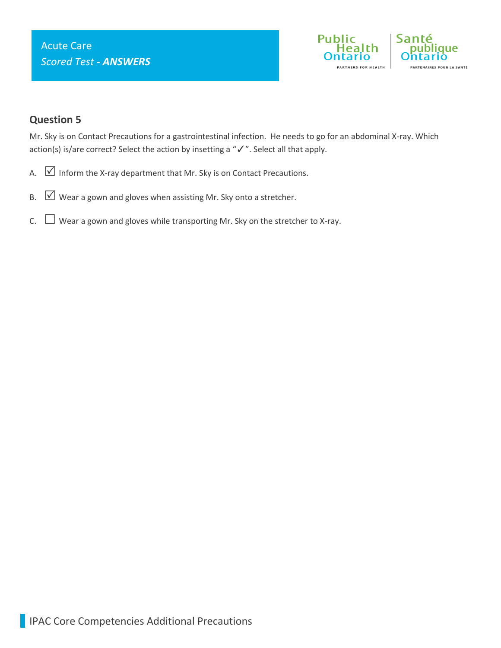

## **Question 5**

Mr. Sky is on Contact Precautions for a gastrointestinal infection. He needs to go for an abdominal X-ray. Which action(s) is/are correct? Select the action by insetting a "✓". Select all that apply.

- A.  $\boxed{\vee}$  Inform the X-ray department that Mr. Sky is on Contact Precautions.
- B.  $\boxed{\vee}$  Wear a gown and gloves when assisting Mr. Sky onto a stretcher.
- $C.$   $\Box$  Wear a gown and gloves while transporting Mr. Sky on the stretcher to X-ray.